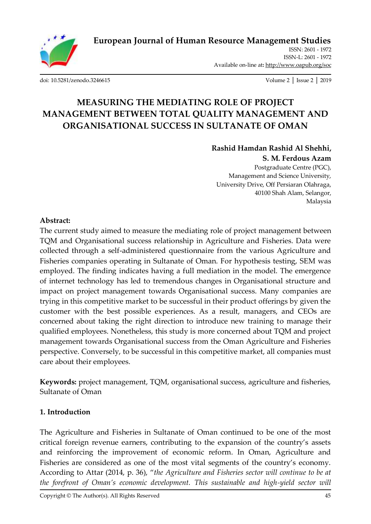

[doi: 10.5281/zenodo.3246615](http://dx.doi.org/10.5281/zenodo.3246615) Volume 2 │ Issue 2 │ 2019

# **MEASURING THE MEDIATING ROLE OF PROJECT MANAGEMENT BETWEEN TOTAL QUALITY MANAGEMENT AND ORGANISATIONAL SUCCESS IN SULTANATE OF OMAN**

# **Rashid Hamdan Rashid Al Shehhi,**

#### **S. M. Ferdous Azam**

Postgraduate Centre (PGC), Management and Science University, University Drive, Off Persiaran Olahraga, 40100 Shah Alam, Selangor, Malaysia

#### **Abstract:**

The current study aimed to measure the mediating role of project management between TQM and Organisational success relationship in Agriculture and Fisheries. Data were collected through a self-administered questionnaire from the various Agriculture and Fisheries companies operating in Sultanate of Oman. For hypothesis testing, SEM was employed. The finding indicates having a full mediation in the model. The emergence of internet technology has led to tremendous changes in Organisational structure and impact on project management towards Organisational success. Many companies are trying in this competitive market to be successful in their product offerings by given the customer with the best possible experiences. As a result, managers, and CEOs are concerned about taking the right direction to introduce new training to manage their qualified employees. Nonetheless, this study is more concerned about TQM and project management towards Organisational success from the Oman Agriculture and Fisheries perspective. Conversely, to be successful in this competitive market, all companies must care about their employees.

**Keywords:** project management, TQM, organisational success, agriculture and fisheries, Sultanate of Oman

#### **1. Introduction**

The Agriculture and Fisheries in Sultanate of Oman continued to be one of the most critical foreign revenue earners, contributing to the expansion of the country's assets and reinforcing the improvement of economic reform. In Oman, Agriculture and Fisheries are considered as one of the most vital segments of the country's economy. According to Attar (2014, p. 36), "*the Agriculture and Fisheries sector will continue to be at the forefront of Oman's economic development. This sustainable and high-yield sector will*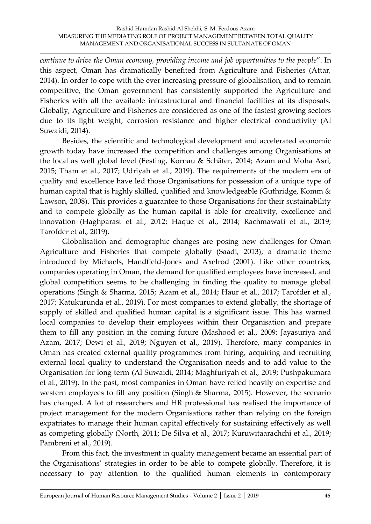*continue to drive the Oman economy, providing income and job opportunities to the people*". In this aspect, Oman has dramatically benefited from Agriculture and Fisheries (Attar, 2014). In order to cope with the ever increasing pressure of globalisation, and to remain competitive, the Oman government has consistently supported the Agriculture and Fisheries with all the available infrastructural and financial facilities at its disposals. Globally, Agriculture and Fisheries are considered as one of the fastest growing sectors due to its light weight, corrosion resistance and higher electrical conductivity (Al Suwaidi, 2014).

Besides, the scientific and technological development and accelerated economic growth today have increased the competition and challenges among Organisations at the local as well global level (Festing, Kornau & Schäfer, 2014; Azam and Moha Asri, 2015; Tham et al., 2017; Udriyah et al., 2019). The requirements of the modern era of quality and excellence have led those Organisations for possession of a unique type of human capital that is highly skilled, qualified and knowledgeable (Guthridge, Komm & Lawson, 2008). This provides a guarantee to those Organisations for their sustainability and to compete globally as the human capital is able for creativity, excellence and innovation (Haghparast et al., 2012; Haque et al., 2014; Rachmawati et al., 2019; Tarofder et al., 2019).

Globalisation and demographic changes are posing new challenges for Oman Agriculture and Fisheries that compete globally (Saadi, 2013), a dramatic theme introduced by Michaels, Handfield-Jones and Axelrod (2001). Like other countries, companies operating in Oman, the demand for qualified employees have increased, and global competition seems to be challenging in finding the quality to manage global operations (Singh & Sharma, 2015; Azam et al., 2014; Haur et al., 2017; Tarofder et al., 2017; Katukurunda et al., 2019). For most companies to extend globally, the shortage of supply of skilled and qualified human capital is a significant issue. This has warned local companies to develop their employees within their Organisation and prepare them to fill any position in the coming future (Mashood et al., 2009; Jayasuriya and Azam, 2017; Dewi et al., 2019; Nguyen et al., 2019). Therefore, many companies in Oman has created external quality programmes from hiring, acquiring and recruiting external local quality to understand the Organisation needs and to add value to the Organisation for long term (Al Suwaidi, 2014; Maghfuriyah et al., 2019; Pushpakumara et al., 2019). In the past, most companies in Oman have relied heavily on expertise and western employees to fill any position (Singh & Sharma, 2015). However, the scenario has changed. A lot of researchers and HR professional has realised the importance of project management for the modern Organisations rather than relying on the foreign expatriates to manage their human capital effectively for sustaining effectively as well as competing globally (North, 2011; De Silva et al., 2017; Kuruwitaarachchi et al., 2019; Pambreni et al., 2019).

From this fact, the investment in quality management became an essential part of the Organisations' strategies in order to be able to compete globally. Therefore, it is necessary to pay attention to the qualified human elements in contemporary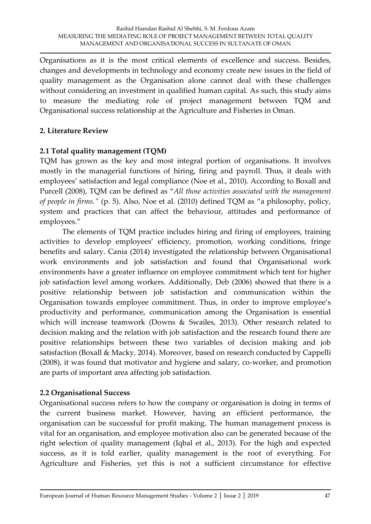Organisations as it is the most critical elements of excellence and success. Besides, changes and developments in technology and economy create new issues in the field of quality management as the Organisation alone cannot deal with these challenges without considering an investment in qualified human capital. As such, this study aims to measure the mediating role of project management between TQM and Organisational success relationship at the Agriculture and Fisheries in Oman.

# **2. Literature Review**

# **2.1 Total quality management (TQM)**

TQM has grown as the key and most integral portion of organisations. It involves mostly in the managerial functions of hiring, firing and payroll. Thus, it deals with employees' satisfaction and legal compliance (Noe et al., 2010). According to Boxall and Purcell (2008), TQM can be defined as "*All those activities associated with the management of people in firms."* (p. 5). Also, Noe et al. (2010) defined TQM as "a philosophy, policy, system and practices that can affect the behaviour, attitudes and performance of employees."

The elements of TQM practice includes hiring and firing of employees, training activities to develop employees' efficiency, promotion, working conditions, fringe benefits and salary. Cania (2014) investigated the relationship between Organisational work environments and job satisfaction and found that Organisational work environments have a greater influence on employee commitment which tent for higher job satisfaction level among workers. Additionally, Deb (2006) showed that there is a positive relationship between job satisfaction and communication within the Organisation towards employee commitment. Thus, in order to improve employee's productivity and performance, communication among the Organisation is essential which will increase teamwork (Downs & Swailes, 2013). Other research related to decision making and the relation with job satisfaction and the research found there are positive relationships between these two variables of decision making and job satisfaction (Boxall & Macky, 2014). Moreover, based on research conducted by Cappelli (2008), it was found that motivator and hygiene and salary, co-worker, and promotion are parts of important area affecting job satisfaction.

# **2.2 Organisational Success**

Organisational success refers to how the company or organisation is doing in terms of the current business market. However, having an efficient performance, the organisation can be successful for profit making. The human management process is vital for an organisation, and employee motivation also can be generated because of the right selection of quality management (Iqbal et al., 2013). For the high and expected success, as it is told earlier, quality management is the root of everything. For Agriculture and Fisheries, yet this is not a sufficient circumstance for effective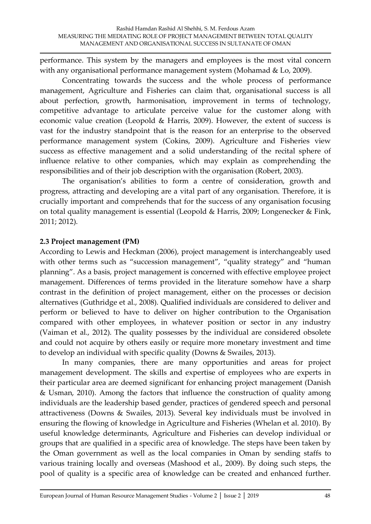performance. This system by the managers and employees is the most vital concern with any organisational performance management system (Mohamad & Lo, 2009).

Concentrating towards the success and the whole process of performance management, Agriculture and Fisheries can claim that, organisational success is all about perfection, growth, harmonisation, improvement in terms of technology, competitive advantage to articulate perceive value for the customer along with economic value creation (Leopold & Harris, 2009). However, the extent of success is vast for the industry standpoint that is the reason for an enterprise to the observed performance management system (Cokins, 2009). Agriculture and Fisheries view success as effective management and a solid understanding of the recital sphere of influence relative to other companies, which may explain as comprehending the responsibilities and of their job description with the organisation (Robert, 2003).

The organisation's abilities to form a centre of consideration, growth and progress, attracting and developing are a vital part of any organisation. Therefore, it is crucially important and comprehends that for the success of any organisation focusing on total quality management is essential (Leopold & Harris, 2009; Longenecker & Fink, 2011; 2012).

#### **2.3 Project management (PM)**

According to Lewis and Heckman (2006), project management is interchangeably used with other terms such as "succession management", "quality strategy" and "human planning". As a basis, project management is concerned with effective employee project management. Differences of terms provided in the literature somehow have a sharp contrast in the definition of project management, either on the processes or decision alternatives (Guthridge et al., 2008). Qualified individuals are considered to deliver and perform or believed to have to deliver on higher contribution to the Organisation compared with other employees, in whatever position or sector in any industry (Vaiman et al., 2012). The quality possesses by the individual are considered obsolete and could not acquire by others easily or require more monetary investment and time to develop an individual with specific quality (Downs & Swailes, 2013).

In many companies, there are many opportunities and areas for project management development. The skills and expertise of employees who are experts in their particular area are deemed significant for enhancing project management (Danish & Usman, 2010). Among the factors that influence the construction of quality among individuals are the leadership based gender, practices of gendered speech and personal attractiveness (Downs & Swailes, 2013). Several key individuals must be involved in ensuring the flowing of knowledge in Agriculture and Fisheries (Whelan et al. 2010). By useful knowledge determinants, Agriculture and Fisheries can develop individual or groups that are qualified in a specific area of knowledge. The steps have been taken by the Oman government as well as the local companies in Oman by sending staffs to various training locally and overseas (Mashood et al., 2009). By doing such steps, the pool of quality is a specific area of knowledge can be created and enhanced further.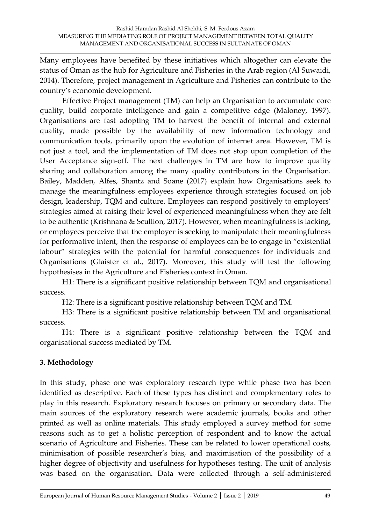Many employees have benefited by these initiatives which altogether can elevate the status of Oman as the hub for Agriculture and Fisheries in the Arab region (Al Suwaidi, 2014). Therefore, project management in Agriculture and Fisheries can contribute to the country's economic development.

Effective Project management (TM) can help an Organisation to accumulate core quality, build corporate intelligence and gain a competitive edge (Maloney, 1997). Organisations are fast adopting TM to harvest the benefit of internal and external quality, made possible by the availability of new information technology and communication tools, primarily upon the evolution of internet area. However, TM is not just a tool, and the implementation of TM does not stop upon completion of the User Acceptance sign-off. The next challenges in TM are how to improve quality sharing and collaboration among the many quality contributors in the Organisation. Bailey, Madden, Alfes, Shantz and Soane (2017) explain how Organisations seek to manage the meaningfulness employees experience through strategies focused on job design, leadership, TQM and culture. Employees can respond positively to employers' strategies aimed at raising their level of experienced meaningfulness when they are felt to be authentic (Krishnana & Scullion, 2017). However, when meaningfulness is lacking, or employees perceive that the employer is seeking to manipulate their meaningfulness for performative intent, then the response of employees can be to engage in "existential labour" strategies with the potential for harmful consequences for individuals and Organisations (Glaister et al., 2017). Moreover, this study will test the following hypothesises in the Agriculture and Fisheries context in Oman.

H1: There is a significant positive relationship between TQM and organisational success.

H2: There is a significant positive relationship between TQM and TM.

H3: There is a significant positive relationship between TM and organisational success.

H4: There is a significant positive relationship between the TQM and organisational success mediated by TM.

# **3. Methodology**

In this study, phase one was exploratory research type while phase two has been identified as descriptive. Each of these types has distinct and complementary roles to play in this research. Exploratory research focuses on primary or secondary data. The main sources of the exploratory research were academic journals, books and other printed as well as online materials. This study employed a survey method for some reasons such as to get a holistic perception of respondent and to know the actual scenario of Agriculture and Fisheries. These can be related to lower operational costs, minimisation of possible researcher's bias, and maximisation of the possibility of a higher degree of objectivity and usefulness for hypotheses testing. The unit of analysis was based on the organisation. Data were collected through a self-administered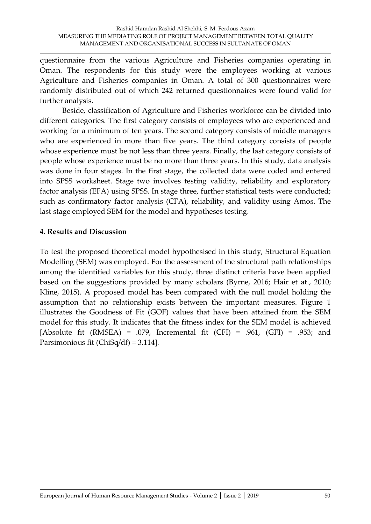questionnaire from the various Agriculture and Fisheries companies operating in Oman. The respondents for this study were the employees working at various Agriculture and Fisheries companies in Oman. A total of 300 questionnaires were randomly distributed out of which 242 returned questionnaires were found valid for further analysis.

Beside, classification of Agriculture and Fisheries workforce can be divided into different categories. The first category consists of employees who are experienced and working for a minimum of ten years. The second category consists of middle managers who are experienced in more than five years. The third category consists of people whose experience must be not less than three years. Finally, the last category consists of people whose experience must be no more than three years. In this study, data analysis was done in four stages. In the first stage, the collected data were coded and entered into SPSS worksheet. Stage two involves testing validity, reliability and exploratory factor analysis (EFA) using SPSS. In stage three, further statistical tests were conducted; such as confirmatory factor analysis (CFA), reliability, and validity using Amos. The last stage employed SEM for the model and hypotheses testing.

#### **4. Results and Discussion**

To test the proposed theoretical model hypothesised in this study, Structural Equation Modelling (SEM) was employed. For the assessment of the structural path relationships among the identified variables for this study, three distinct criteria have been applied based on the suggestions provided by many scholars (Byrne, 2016; Hair et at., 2010; Kline, 2015). A proposed model has been compared with the null model holding the assumption that no relationship exists between the important measures. Figure 1 illustrates the Goodness of Fit (GOF) values that have been attained from the SEM model for this study. It indicates that the fitness index for the SEM model is achieved [Absolute fit (RMSEA) = .079, Incremental fit (CFI) = .961, (GFI) = .953; and Parsimonious fit (ChiSq/df) = 3.114].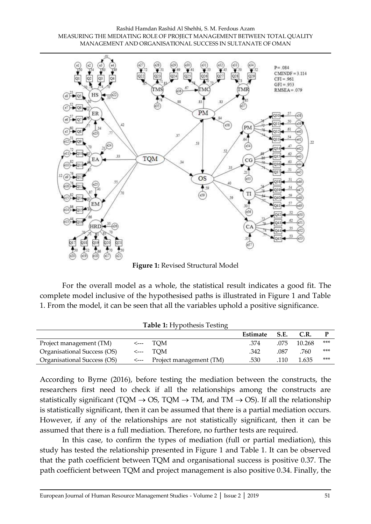#### Rashid Hamdan Rashid Al Shehhi, S. M. Ferdous Azam MEASURING THE MEDIATING ROLE OF PROJECT MANAGEMENT BETWEEN TOTAL QUALITY MANAGEMENT AND ORGANISATIONAL SUCCESS IN SULTANATE OF OMAN



**Figure 1:** Revised Structural Model

For the overall model as a whole, the statistical result indicates a good fit. The complete model inclusive of the hypothesised paths is illustrated in Figure 1 and Table 1. From the model, it can be seen that all the variables uphold a positive significance.

|                             |                                      | Estimate | S.E. | C.R.   |     |
|-----------------------------|--------------------------------------|----------|------|--------|-----|
| Project management (TM)     | $\leftarrow$ TOM                     | .374     | .075 | 10.268 | *** |
| Organisational Success (OS) | $\leftarrow$ TOM                     | .342     | .087 | .760   | *** |
| Organisational Success (OS) | $\leftarrow$ Project management (TM) | .530     | 110  | 1.635  | *** |

**Table 1:** Hypothesis Testing

According to Byrne (2016), before testing the mediation between the constructs, the researchers first need to check if all the relationships among the constructs are statistically significant (TQM  $\rightarrow$  OS, TQM  $\rightarrow$  TM, and TM  $\rightarrow$  OS). If all the relationship is statistically significant, then it can be assumed that there is a partial mediation occurs. However, if any of the relationships are not statistically significant, then it can be assumed that there is a full mediation. Therefore, no further tests are required.

In this case, to confirm the types of mediation (full or partial mediation), this study has tested the relationship presented in Figure 1 and Table 1. It can be observed that the path coefficient between TQM and organisational success is positive 0.37. The path coefficient between TQM and project management is also positive 0.34. Finally, the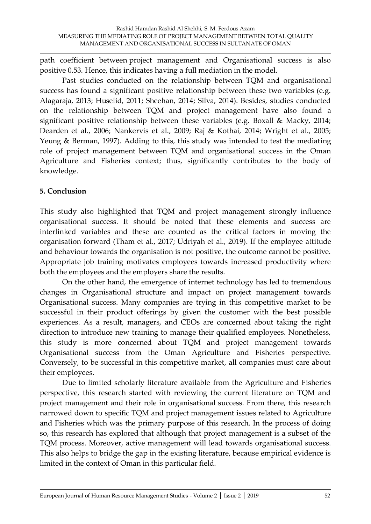path coefficient between project management and Organisational success is also positive 0.53. Hence, this indicates having a full mediation in the model.

Past studies conducted on the relationship between TQM and organisational success has found a significant positive relationship between these two variables (e.g. Alagaraja, 2013; Huselid, 2011; Sheehan, 2014; Silva, 2014). Besides, studies conducted on the relationship between TQM and project management have also found a significant positive relationship between these variables (e.g. Boxall & Macky, 2014; Dearden et al., 2006; Nankervis et al., 2009; Raj & Kothai, 2014; Wright et al., 2005; Yeung & Berman, 1997). Adding to this, this study was intended to test the mediating role of project management between TQM and organisational success in the Oman Agriculture and Fisheries context; thus, significantly contributes to the body of knowledge.

# **5. Conclusion**

This study also highlighted that TQM and project management strongly influence organisational success. It should be noted that these elements and success are interlinked variables and these are counted as the critical factors in moving the organisation forward (Tham et al., 2017; Udriyah et al., 2019). If the employee attitude and behaviour towards the organisation is not positive, the outcome cannot be positive. Appropriate job training motivates employees towards increased productivity where both the employees and the employers share the results.

On the other hand, the emergence of internet technology has led to tremendous changes in Organisational structure and impact on project management towards Organisational success. Many companies are trying in this competitive market to be successful in their product offerings by given the customer with the best possible experiences. As a result, managers, and CEOs are concerned about taking the right direction to introduce new training to manage their qualified employees. Nonetheless, this study is more concerned about TQM and project management towards Organisational success from the Oman Agriculture and Fisheries perspective. Conversely, to be successful in this competitive market, all companies must care about their employees.

Due to limited scholarly literature available from the Agriculture and Fisheries perspective, this research started with reviewing the current literature on TQM and project management and their role in organisational success. From there, this research narrowed down to specific TQM and project management issues related to Agriculture and Fisheries which was the primary purpose of this research. In the process of doing so, this research has explored that although that project management is a subset of the TQM process. Moreover, active management will lead towards organisational success. This also helps to bridge the gap in the existing literature, because empirical evidence is limited in the context of Oman in this particular field.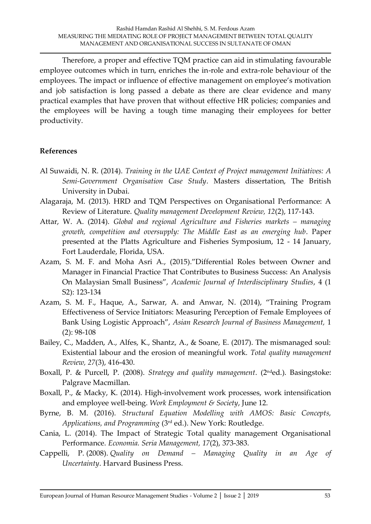Therefore, a proper and effective TQM practice can aid in stimulating favourable employee outcomes which in turn, enriches the in-role and extra-role behaviour of the employees. The impact or influence of effective management on employee's motivation and job satisfaction is long passed a debate as there are clear evidence and many practical examples that have proven that without effective HR policies; companies and the employees will be having a tough time managing their employees for better productivity.

#### **References**

- Al Suwaidi, N. R. (2014). *Training in the UAE Context of Project management Initiatives: A Semi-Government Organisation Case Study*. Masters dissertation, The British University in Dubai.
- Alagaraja, M. (2013). HRD and TQM Perspectives on Organisational Performance: A Review of Literature. *Quality management Development Review, 12*(2), 117-143.
- Attar, W. A. (2014). *Global and regional Agriculture and Fisheries markets managing growth, competition and oversupply: The Middle East as an emerging hub*. Paper presented at the Platts Agriculture and Fisheries Symposium, 12 - 14 January, Fort Lauderdale, Florida, USA.
- Azam, S. M. F. and Moha Asri A., (2015)."Differential Roles between Owner and Manager in Financial Practice That Contributes to Business Success: An Analysis On Malaysian Small Business", *Academic Journal of Interdisciplinary Studies*, 4 (1 S2): 123-134
- Azam, S. M. F., Haque, A., Sarwar, A. and Anwar, N. (2014), "Training Program Effectiveness of Service Initiators: Measuring Perception of Female Employees of Bank Using Logistic Approach", *Asian Research Journal of Business Management,* 1 (2): 98-108
- Bailey, C., Madden, A., Alfes, K., Shantz, A., & Soane, E. (2017). The mismanaged soul: Existential labour and the erosion of meaningful work. *Total quality management Review, 27*(3), 416-430.
- Boxall, P. & Purcell, P. (2008). *Strategy and quality management*. (2nded.). Basingstoke: Palgrave Macmillan.
- Boxall, P., & Macky, K. (2014). High-involvement work processes, work intensification and employee well-being. *Work Employment & Society*, June 12.
- Byrne, B. M. (2016). *Structural Equation Modelling with AMOS: Basic Concepts, Applications, and Programming* (3rd ed.). New York: Routledge.
- Cania, L. (2014). The Impact of Strategic Total quality management Organisational Performance. *Economia. Seria Management, 17*(2), 373-383.
- Cappelli, P. (2008). *Quality on Demand – Managing Quality in an Age of Uncertainty*. Harvard Business Press.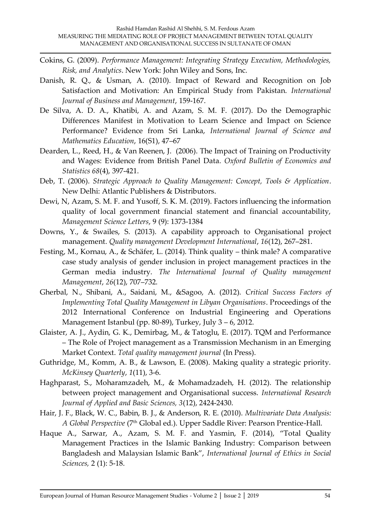- Cokins, G. (2009). *Performance Management: Integrating Strategy Execution, Methodologies, Risk, and Analytics*. New York: John Wiley and Sons, Inc.
- Danish, R. Q., & Usman, A. (2010). Impact of Reward and Recognition on Job Satisfaction and Motivation: An Empirical Study from Pakistan. *International Journal of Business and Management*, 159-167.
- De Silva, A. D. A., Khatibi, A. and Azam, S. M. F. (2017). Do the Demographic Differences Manifest in Motivation to Learn Science and Impact on Science Performance? Evidence from Sri Lanka, *International Journal of Science and Mathematics Education*, 16(S1), 47–67
- Dearden, L., Reed, H., & Van Reenen, J. (2006). The Impact of Training on Productivity and Wages: Evidence from British Panel Data. *Oxford Bulletin of Economics and Statistics 68*(4), 397-421.
- Deb, T. (2006). *Strategic Approach to Quality Management: Concept, Tools & Application*. New Delhi: Atlantic Publishers & Distributors.
- Dewi, N, Azam, S. M. F. and Yusoff, S. K. M. (2019). Factors influencing the information quality of local government financial statement and financial accountability, *Management Science Letters*, 9 (9): 1373-1384
- Downs, Y., & Swailes, S. (2013). A capability approach to Organisational project management. *Quality management Development International*, *16*(12), 267–281.
- Festing, M., Kornau, A., & Schäfer, L. (2014). Think quality think male? A comparative case study analysis of gender inclusion in project management practices in the German media industry. *The International Journal of Quality management Management*, *26*(12), 707–732.
- Gherbal, N., Shibani, A., Saidani, M., &Sagoo, A. (2012). *Critical Success Factors of Implementing Total Quality Management in Libyan Organisations*. Proceedings of the 2012 International Conference on Industrial Engineering and Operations Management Istanbul (pp. 80-89), Turkey, July 3 – 6, 2012.
- Glaister, A. J., Aydin, G. K., Demirbag, M., & Tatoglu, E. (2017). TQM and Performance – The Role of Project management as a Transmission Mechanism in an Emerging Market Context. *Total quality management journal* (In Press).
- Guthridge, M., Komm, A. B., & Lawson, E. (2008). Making quality a strategic priority. *McKinsey Quarterly*, *1*(11), 3-6.
- Haghparast, S., Moharamzadeh, M., & Mohamadzadeh, H. (2012). The relationship between project management and Organisational success. *International Research Journal of Applied and Basic Sciences, 3*(12), 2424-2430.
- Hair, J. F., Black, W. C., Babin, B. J., & Anderson, R. E. (2010). *Multivariate Data Analysis: A Global Perspective* (7th Global ed.). Upper Saddle River: Pearson Prentice-Hall.
- Haque A., Sarwar, A., Azam, S. M. F. and Yasmin, F. (2014), "Total Quality Management Practices in the Islamic Banking Industry: Comparison between Bangladesh and Malaysian Islamic Bank", *International Journal of Ethics in Social Sciences,* 2 (1): 5-18.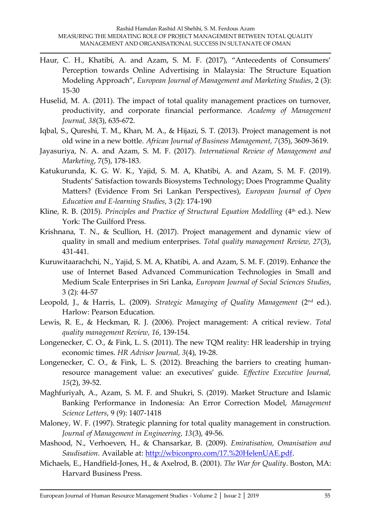- Haur, C. H., Khatibi, A. and Azam, S. M. F. (2017), "Antecedents of Consumers' Perception towards Online Advertising in Malaysia: The Structure Equation Modeling Approach", *European Journal of Management and Marketing Studies*, 2 (3): 15-30
- Huselid, M. A. (2011). The impact of total quality management practices on turnover, productivity, and corporate financial performance. *Academy of Management Journal, 38*(3), 635-672.
- Iqbal, S., Qureshi, T. M., Khan, M. A., & Hijazi, S. T. (2013). Project management is not old wine in a new bottle. *African Journal of Business Management, 7*(35), 3609-3619.
- Jayasuriya, N. A. and Azam, S. M. F. (2017). *International Review of Management and Marketing*, 7(5), 178-183.
- Katukurunda, K. G. W. K., Yajid, S. M. A, Khatibi, A. and Azam, S. M. F. (2019). Students' Satisfaction towards Biosystems Technology; Does Programme Quality Matters? (Evidence From Sri Lankan Perspectives), *European Journal of Open Education and E-learning Studies*, 3 (2): 174-190
- Kline, R. B. (2015). *Principles and Practice of Structural Equation Modelling* (4<sup>th</sup> ed.). New York: The Guilford Press.
- Krishnana, T. N., & Scullion, H. (2017). Project management and dynamic view of quality in small and medium enterprises. *Total quality management Review, 27*(3), 431-441.
- Kuruwitaarachchi, N., Yajid, S. M. A, Khatibi, A. and Azam, S. M. F. (2019). Enhance the use of Internet Based Advanced Communication Technologies in Small and Medium Scale Enterprises in Sri Lanka, *European Journal of Social Sciences Studies*, 3 (2): 44-57
- Leopold, J., & Harris, L. (2009). *Strategic Managing of Quality Management* (2nd ed.). Harlow: Pearson Education.
- Lewis, R. E., & Heckman, R. J. (2006). Project management: A critical review. *Total quality management Review*, *16*, 139-154.
- Longenecker, C. O., & Fink, L. S. (2011). The new TQM reality: HR leadership in trying economic times. *HR Advisor Journal, 3*(4), 19-28.
- Longenecker, C. O., & Fink, L. S. (2012). Breaching the barriers to creating humanresource management value: an executives' guide. *Effective Executive Journal, 15*(2), 39-52.
- Maghfuriyah, A., Azam, S. M. F. and Shukri, S. (2019). Market Structure and Islamic Banking Performance in Indonesia: An Error Correction Model, *Management Science Letters*, 9 (9): 1407-1418
- Maloney, W. F. (1997). Strategic planning for total quality management in construction. *Journal of Management in Engineering, 13*(3), 49-56.
- Mashood, N., Verhoeven, H., & Chansarkar, B. (2009). *Emiratisation, Omanisation and Saudisation*. Available at: [http://wbiconpro.com/17.%20HelenUAE.pdf.](http://wbiconpro.com/17.%20HelenUAE.pdf)
- Michaels, E., Handfield-Jones, H., & Axelrod, B. (2001). *The War for Quality*. Boston, MA: Harvard Business Press.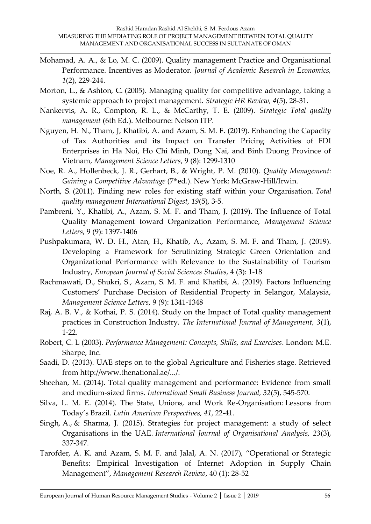- Mohamad, A. A., & Lo, M. C. (2009). Quality management Practice and Organisational Performance. Incentives as Moderator. *Journal of Academic Research in Economics, 1*(2), 229-244.
- Morton, L., & Ashton, C. (2005). Managing quality for competitive advantage, taking a systemic approach to project management. *Strategic HR Review, 4*(5), 28-31.
- Nankervis, A. R., Compton, R. L., & McCarthy, T. E. (2009). *Strategic Total quality management* (6th Ed.). Melbourne: Nelson ITP.
- Nguyen, H. N., Tham, J, Khatibi, A. and Azam, S. M. F. (2019). Enhancing the Capacity of Tax Authorities and its Impact on Transfer Pricing Activities of FDI Enterprises in Ha Noi, Ho Chi Minh, Dong Nai, and Binh Duong Province of Vietnam, *Management Science Letters*, 9 (8): 1299-1310
- Noe, R. A., Hollenbeck, J. R., Gerhart, B., & Wright, P. M. (2010). *Quality Management: Gaining a Competitive Advantage* (7thed.). New York: McGraw-Hill/Irwin.
- North, S. (2011). Finding new roles for existing staff within your Organisation. *Total quality management International Digest, 19*(5), 3-5.
- Pambreni, Y., Khatibi, A., Azam, S. M. F. and Tham, J. (2019). The Influence of Total Quality Management toward Organization Performance, *Management Science Letters*, 9 (9): 1397-1406
- Pushpakumara, W. D. H., Atan, H., Khatib, A., Azam, S. M. F. and Tham, J. (2019). Developing a Framework for Scrutinizing Strategic Green Orientation and Organizational Performance with Relevance to the Sustainability of Tourism Industry, *European Journal of Social Sciences Studies*, 4 (3): 1-18
- Rachmawati, D., Shukri, S., Azam, S. M. F. and Khatibi, A. (2019). Factors Influencing Customers' Purchase Decision of Residential Property in Selangor, Malaysia, *Management Science Letters*, 9 (9): 1341-1348
- Raj, A. B. V., & Kothai, P. S. (2014). Study on the Impact of Total quality management practices in Construction Industry. *The International Journal of Management, 3*(1), 1-22.
- Robert, C. L (2003). *Performance Management: Concepts, Skills, and Exercises*. London: M.E. Sharpe, Inc.
- Saadi, D. (2013). UAE steps on to the global Agriculture and Fisheries stage. Retrieved from http://www.thenational.ae/.../.
- Sheehan, M. (2014). Total quality management and performance: Evidence from small and medium-sized firms. *International Small Business Journal, 32*(5), 545-570.
- Silva, L. M. E. (2014). The State, Unions, and Work Re-Organisation: Lessons from Today's Brazil. *Latin American Perspectives, 41*, 22-41.
- Singh, A., & Sharma, J. (2015). Strategies for project management: a study of select Organisations in the UAE. *International Journal of Organisational Analysis, 23*(3), 337-347.
- Tarofder, A. K. and Azam, S. M. F. and Jalal, A. N. (2017), "Operational or Strategic Benefits: Empirical Investigation of Internet Adoption in Supply Chain Management", *Management Research Review*, 40 (1): 28-52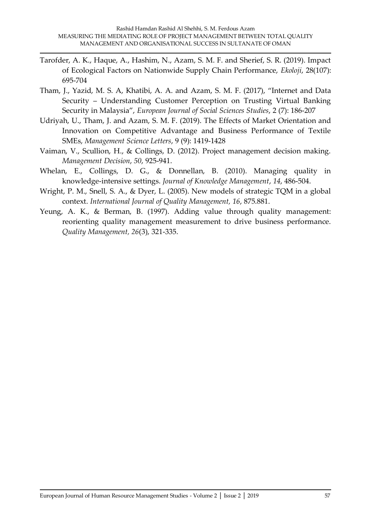- Tarofder, A. K., Haque, A., Hashim, N., Azam, S. M. F. and Sherief, S. R. (2019). Impact of Ecological Factors on Nationwide Supply Chain Performance, *Ekoloji*, 28(107): 695-704
- Tham, J., Yazid, M. S. A, Khatibi, A. A. and Azam, S. M. F. (2017), "Internet and Data Security – Understanding Customer Perception on Trusting Virtual Banking Security in Malaysia", *European Journal of Social Sciences Studies*, 2 (7): 186-207
- Udriyah, U., Tham, J. and Azam, S. M. F. (2019). The Effects of Market Orientation and Innovation on Competitive Advantage and Business Performance of Textile SMEs, *Management Science Letters*, 9 (9): 1419-1428
- Vaiman, V., Scullion, H., & Collings, D. (2012). Project management decision making. *Management Decision*, *50*, 925-941.
- Whelan, E., Collings, D. G., & Donnellan, B. (2010). Managing quality in knowledge‐intensive settings. *Journal of Knowledge Management*, *14*, 486-504.
- Wright, P. M., Snell, S. A., & Dyer, L. (2005). New models of strategic TQM in a global context. *International Journal of Quality Management, 16*, 875.881.
- Yeung, A. K., & Berman, B. (1997). Adding value through quality management: reorienting quality management measurement to drive business performance. *Quality Management, 26*(3), 321-335.